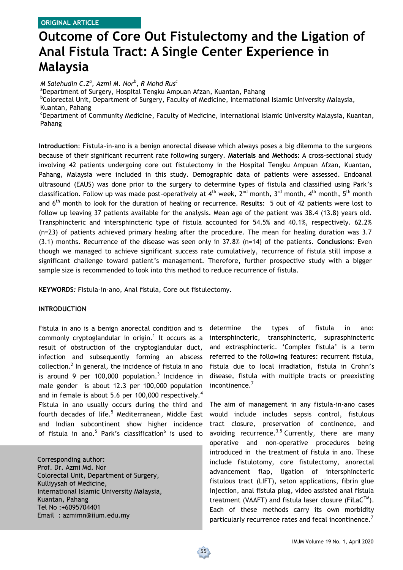# **Outcome of Core Out Fistulectomy and the Ligation of Anal Fistula Tract: A Single Center Experience in Malaysia**

*M Salehudin C.Z<sup>a</sup> , Azmi M. Nor<sup>b</sup> , R Mohd Rus<sup>c</sup>*

<sup>a</sup>Department of Surgery, Hospital Tengku Ampuan Afzan, Kuantan, Pahang

<sup>b</sup>Colorectal Unit, Department of Surgery, Faculty of Medicine, International Islamic University Malaysia, Kuantan, Pahang

<sup>c</sup>Department of Community Medicine, Faculty of Medicine, International Islamic University Malaysia, Kuantan, Pahang

**Introduction**: Fistula-in-ano is a benign anorectal disease which always poses a big dilemma to the surgeons because of their significant recurrent rate following surgery. **Materials and Methods**: A cross-sectional study involving 42 patients undergoing core out fistulectomy in the Hospital Tengku Ampuan Afzan, Kuantan, Pahang, Malaysia were included in this study. Demographic data of patients were assessed. Endoanal ultrasound (EAUS) was done prior to the surgery to determine types of fistula and classified using Park's classification. Follow up was made post-operatively at 4<sup>th</sup> week, 2<sup>nd</sup> month, 3<sup>rd</sup> month, 4<sup>th</sup> month, 5<sup>th</sup> month and 6th month to look for the duration of healing or recurrence. **Results**: 5 out of 42 patients were lost to follow up leaving 37 patients available for the analysis. Mean age of the patient was 38.4 (13.8) years old. Transphincteric and intersphincteric type of fistula accounted for 54.5% and 40.1%, respectively. 62.2% (n=23) of patients achieved primary healing after the procedure. The mean for healing duration was 3.7 (3.1) months. Recurrence of the disease was seen only in 37.8% (n=14) of the patients. **Conclusions**: Even though we managed to achieve significant success rate cumulatively, recurrence of fistula still impose a significant challenge toward patient's management. Therefore, further prospective study with a bigger sample size is recommended to look into this method to reduce recurrence of fistula.

**KEYWORDS***:* Fistula-in-ano, Anal fistula, Core out fistulectomy.

# **INTRODUCTION**

Fistula in ano is a benign anorectal condition and is commonly cryptoglandular in origin.<sup>1</sup> It occurs as a result of obstruction of the cryptoglandular duct, infection and subsequently forming an abscess collection.<sup>2</sup> In general, the incidence of fistula in ano is around 9 per 100,000 population.<sup>3</sup> Incidence in male gender is about 12.3 per 100,000 population and in female is about 5.6 per 100,000 respectively.<sup>4</sup> Fistula in ano usually occurs during the third and fourth decades of life.<sup>5</sup> Mediterranean, Middle East and Indian subcontinent show higher incidence of fistula in ano.<sup>5</sup> Park's classification<sup>6</sup> is used to

Corresponding author: Prof. Dr. Azmi Md. Nor Colorectal Unit, Department of Surgery, Kulliyysah of Medicine, International Islamic University Malaysia, Kuantan, Pahang Tel No :+6095704401 Email : azmimn@iium.edu.my

determine the types of fistula in ano: intersphincteric, transphincteric, suprasphincteric and extrasphincteric. 'Complex fistula' is a term referred to the following features: recurrent fistula, fistula due to local irradiation, fistula in Crohn's disease, fistula with multiple tracts or preexisting incontinence.<sup>7</sup>

The aim of management in any fistula-in-ano cases would include includes sepsis control, fistulous tract closure, preservation of continence, and avoiding recurrence.<sup>3,5</sup> Currently, there are many operative and non-operative procedures being introduced in the treatment of fistula in ano. These include fistulotomy, core fistulectomy, anorectal advancement flap, ligation of intersphincteric fistulous tract (LIFT), seton applications, fibrin glue injection, anal fistula plug, video assisted anal fistula treatment (VAAFT) and fistula laser closure (FiLa $C^{TM}$ ). Each of these methods carry its own morbidity particularly recurrence rates and fecal incontinence.<sup>7</sup>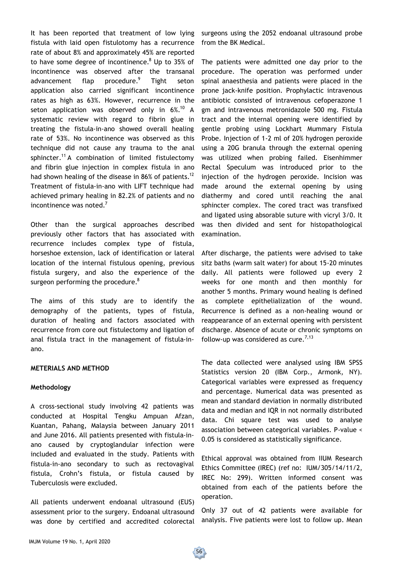It has been reported that treatment of low lying fistula with laid open fistulotomy has a recurrence rate of about 8% and approximately 45% are reported to have some degree of incontinence. $8$  Up to 35% of incontinence was observed after the transanal advancement flap procedure.<sup>9</sup> Tight seton application also carried significant incontinence rates as high as 63%. However, recurrence in the seton application was observed only in  $6\%$ .<sup>10</sup> A systematic review with regard to fibrin glue in treating the fistula-in-ano showed overall healing rate of 53%. No incontinence was observed as this technique did not cause any trauma to the anal sphincter.<sup>11</sup> A combination of limited fistulectomy and fibrin glue injection in complex fistula in ano had shown healing of the disease in 86% of patients.<sup>12</sup> Treatment of fistula-in-ano with LIFT technique had achieved primary healing in 82.2% of patients and no incontinence was noted. $<sup>7</sup>$ </sup>

Other than the surgical approaches described previously other factors that has associated with recurrence includes complex type of fistula, horseshoe extension, lack of identification or lateral location of the internal fistulous opening, previous fistula surgery, and also the experience of the surgeon performing the procedure. $8$ 

The aims of this study are to identify the demography of the patients, types of fistula, duration of healing and factors associated with recurrence from core out fistulectomy and ligation of anal fistula tract in the management of fistula-inano.

### **METERIALS AND METHOD**

#### **Methodology**

A cross-sectional study involving 42 patients was conducted at Hospital Tengku Ampuan Afzan, Kuantan, Pahang, Malaysia between January 2011 and June 2016. All patients presented with fistula-inano caused by cryptoglandular infection were included and evaluated in the study. Patients with fistula-in-ano secondary to such as rectovagival fistula, Crohn's fistula, or fistula caused by Tuberculosis were excluded.

All patients underwent endoanal ultrasound (EUS) assessment prior to the surgery. Endoanal ultrasound was done by certified and accredited colorectal surgeons using the 2052 endoanal ultrasound probe from the BK Medical.

The patients were admitted one day prior to the procedure. The operation was performed under spinal anaesthesia and patients were placed in the prone jack-knife position. Prophylactic intravenous antibiotic consisted of intravenous cefoperazone 1 gm and intravenous metronidazole 500 mg. Fistula tract and the internal opening were identified by gentle probing using Lockhart Mummary Fistula Probe. Injection of 1-2 ml of 20% hydrogen peroxide using a 20G branula through the external opening was utilized when probing failed. Eisenhimmer Rectal Speculum was introduced prior to the injection of the hydrogen peroxide. Incision was made around the external opening by using diathermy and cored until reaching the anal sphincter complex. The cored tract was transfixed and ligated using absorable suture with vicryl 3/0. It was then divided and sent for histopathological examination.

After discharge, the patients were advised to take sitz baths (warm salt water) for about 15-20 minutes daily. All patients were followed up every 2 weeks for one month and then monthly for another 5 months. Primary wound healing is defined as complete epithelialization of the wound. Recurrence is defined as a non-healing wound or reappearance of an external opening with persistent discharge. Absence of acute or chronic symptoms on follow-up was considered as cure.<sup>7,13</sup>

The data collected were analysed using IBM SPSS Statistics version 20 (IBM Corp., Armonk, NY). Categorical variables were expressed as frequency and percentage. Numerical data was presented as mean and standard deviation in normally distributed data and median and IQR in not normally distributed data. Chi square test was used to analyse association between categorical variables. P-value < 0.05 is considered as statistically significance.

Ethical approval was obtained from IIUM Research Ethics Committee (IREC) (ref no: IUM/305/14/11/2, IREC No: 299). Written informed consent was obtained from each of the patients before the operation.

Only 37 out of 42 patients were available for analysis. Five patients were lost to follow up. Mean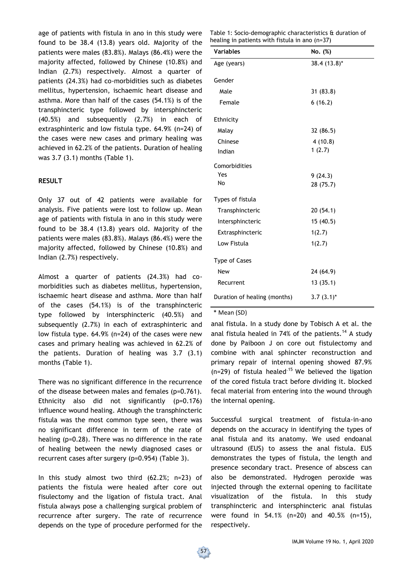age of patients with fistula in ano in this study were found to be 38.4 (13.8) years old. Majority of the patients were males (83.8%). Malays (86.4%) were the majority affected, followed by Chinese (10.8%) and Indian (2.7%) respectively. Almost a quarter of patients (24.3%) had co-morbidities such as diabetes mellitus, hypertension, ischaemic heart disease and asthma. More than half of the cases (54.1%) is of the transphincteric type followed by intersphincteric (40.5%) and subsequently (2.7%) in each of extrasphinteric and low fistula type. 64.9% (n=24) of the cases were new cases and primary healing was achieved in 62.2% of the patients. Duration of healing was 3.7 (3.1) months (Table 1).

# **RESULT**

Only 37 out of 42 patients were available for analysis. Five patients were lost to follow up. Mean age of patients with fistula in ano in this study were found to be 38.4 (13.8) years old. Majority of the patients were males (83.8%). Malays (86.4%) were the majority affected, followed by Chinese (10.8%) and Indian (2.7%) respectively.

Almost a quarter of patients (24.3%) had comorbidities such as diabetes mellitus, hypertension, ischaemic heart disease and asthma. More than half of the cases (54.1%) is of the transphincteric type followed by intersphincteric (40.5%) and subsequently (2.7%) in each of extrasphinteric and low fistula type. 64.9% (n=24) of the cases were new cases and primary healing was achieved in 62.2% of the patients. Duration of healing was 3.7 (3.1) months (Table 1).

There was no significant difference in the recurrence of the disease between males and females (p=0.761). Ethnicity also did not significantly (p=0.176) influence wound healing. Athough the transphincteric fistula was the most common type seen, there was no significant difference in term of the rate of healing (p=0.28). There was no difference in the rate of healing between the newly diagnosed cases or recurrent cases after surgery (p=0.954) (Table 3).

In this study almost two third (62.2%; n=23) of patients the fistula were healed after core out fisulectomy and the ligation of fistula tract. Anal fistula always pose a challenging surgical problem of recurrence after surgery. The rate of recurrence depends on the type of procedure performed for the

Table 1: Socio-demographic characteristics & duration of healing in patients with fistula in ano (n=37)

| <b>Variables</b>             | No. (%)      |
|------------------------------|--------------|
| Age (years)                  | 38.4 (13.8)* |
| Gender                       |              |
| Male                         | 31(83.8)     |
| Female                       | 6(16.2)      |
| Ethnicity                    |              |
| Malay                        | 32 (86.5)    |
| Chinese                      | 4(10.8)      |
| Indian                       | 1(2.7)       |
| Comorbidities                |              |
| Yes                          | 9(24.3)      |
| No                           | 28 (75.7)    |
| Types of fistula             |              |
| Transphincteric              | 20(54.1)     |
| Intersphincteric             | 15(40.5)     |
| Extrasphincteric             | 1(2.7)       |
| Low Fistula                  | 1(2.7)       |
| Type of Cases                |              |
| New                          | 24 (64.9)    |
| Recurrent                    | 13(35.1)     |
| Duration of healing (months) | $3.7(3.1)^*$ |

\* Mean (SD)

anal fistula. In a study done by Tobisch A et al. the anal fistula healed in 74% of the patients.<sup>14</sup> A study done by Paiboon J on core out fistulectomy and combine with anal sphincter reconstruction and primary repair of internal opening showed 87.9%  $(n=29)$  of fistula healed<sup>-15</sup> We believed the ligation of the cored fistula tract before dividing it. blocked fecal material from entering into the wound through the internal opening.

Successful surgical treatment of fistula-in-ano depends on the accuracy in identifying the types of anal fistula and its anatomy. We used endoanal ultrasound (EUS) to assess the anal fistula. EUS demonstrates the types of fistula, the length and presence secondary tract. Presence of abscess can also be demonstrated. Hydrogen peroxide was injected through the external opening to facilitate visualization of the fistula. In this study transphincteric and intersphincteric anal fistulas were found in 54.1% (n=20) and 40.5% (n=15), respectively.

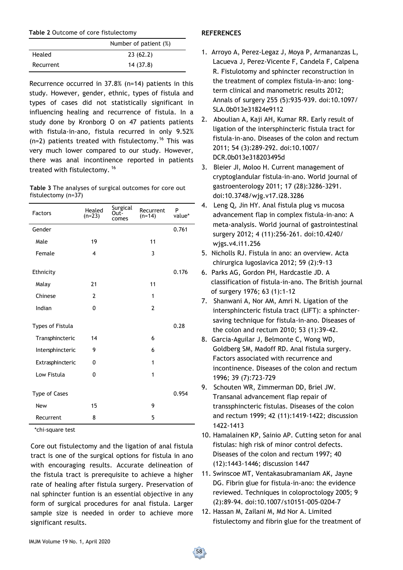|           | Number of patient (%) |  |  |
|-----------|-----------------------|--|--|
| Healed    | 23(62.2)              |  |  |
| Recurrent | 14 (37.8)             |  |  |

Recurrence occurred in 37.8% (n=14) patients in this study. However, gender, ethnic, types of fistula and types of cases did not statistically significant in influencing healing and recurrence of fistula. In a study done by Kronborg O on 47 patients patients with fistula-in-ano, fistula recurred in only 9.52%  $(n=2)$  patients treated with fistulectomy.<sup>16</sup> This was very much lower compared to our study. However, there was anal incontinence reported in patients treated with fistulectomy. <sup>16</sup>

| <b>Table 3</b> The analyses of surgical outcomes for core out |  |  |  |
|---------------------------------------------------------------|--|--|--|
| fistulectomy $(n=37)$                                         |  |  |  |

| <b>Factors</b>   | Healed<br>$(n=23)$      | Surgical<br>Out-<br>comes | Recurrent<br>$(n=14)$ | P<br>value* |
|------------------|-------------------------|---------------------------|-----------------------|-------------|
| Gender           |                         |                           |                       | 0.761       |
| Male             | 19                      |                           | 11                    |             |
| Female           | $\overline{\mathbf{4}}$ |                           | 3                     |             |
| Ethnicity        |                         |                           |                       | 0.176       |
| Malay            | 21                      |                           | 11                    |             |
| Chinese          | $\overline{2}$          |                           | 1                     |             |
| Indian           | 0                       |                           | $\overline{2}$        |             |
| Types of Fistula |                         |                           |                       | 0.28        |
| Transphincteric  | 14                      |                           | 6                     |             |
| Intersphincteric | 9                       |                           | 6                     |             |
| Extrasphincteric | 0                       |                           | 1                     |             |
| Low Fistula      | 0                       |                           | 1                     |             |
| Type of Cases    |                         |                           |                       | 0.954       |
| <b>New</b>       | 15                      |                           | 9                     |             |
| Recurrent        | 8                       |                           | 5                     |             |

\*chi-square test

Core out fistulectomy and the ligation of anal fistula tract is one of the surgical options for fistula in ano with encouraging results. Accurate delineation of the fistula tract is prerequisite to achieve a higher rate of healing after fistula surgery. Preservation of nal sphincter funtion is an essential objective in any form of surgical procedures for anal fistula. Larger sample size is needed in order to achieve more significant results.

# **REFERENCES**

- 1. Arroyo A, Perez-Legaz J, Moya P, Armananzas L, Lacueva J, Perez-Vicente F, Candela F, Calpena R. Fistulotomy and sphincter reconstruction in the treatment of complex fistula-in-ano: longterm clinical and manometric results 2012; Annals of surgery 255 (5):935-939. doi:10.1097/ SLA.0b013e31824e9112
- 2. Aboulian A, Kaji AH, Kumar RR. Early result of ligation of the intersphincteric fistula tract for fistula-in-ano. Diseases of the colon and rectum 2011; 54 (3):289-292. doi:10.1007/ DCR.0b013e318203495d
- 3. Bleier JI, Moloo H. Current management of cryptoglandular fistula-in-ano. World journal of gastroenterology 2011; 17 (28):3286-3291. doi:10.3748/wjg.v17.i28.3286
- 4. Leng Q, Jin HY. Anal fistula plug vs mucosa advancement flap in complex fistula-in-ano: A meta-analysis. World journal of gastrointestinal surgery 2012; 4 (11):256-261. doi:10.4240/ wjgs.v4.i11.256
- 5. Nicholls RJ. Fistula in ano: an overview. Acta chirurgica Iugoslavica 2012; 59 (2):9-13
- 6. Parks AG, Gordon PH, Hardcastle JD. A classification of fistula-in-ano. The British journal of surgery 1976; 63 (1):1-12
- 7. Shanwani A, Nor AM, Amri N. Ligation of the intersphincteric fistula tract (LIFT): a sphinctersaving technique for fistula-in-ano. Diseases of the colon and rectum 2010; 53 (1):39-42.
- 8. Garcia-Aguilar J, Belmonte C, Wong WD, Goldberg SM, Madoff RD. Anal fistula surgery. Factors associated with recurrence and incontinence. Diseases of the colon and rectum 1996; 39 (7):723-729
- 9. Schouten WR, Zimmerman DD, Briel JW. Transanal advancement flap repair of transsphincteric fistulas. Diseases of the colon and rectum 1999; 42 (11):1419-1422; discussion 1422-1413
- 10. Hamalainen KP, Sainio AP. Cutting seton for anal fistulas: high risk of minor control defects. Diseases of the colon and rectum 1997; 40 (12):1443-1446; discussion 1447
- 11. Swinscoe MT, Ventakasubramaniam AK, Jayne DG. Fibrin glue for fistula-in-ano: the evidence reviewed. Techniques in coloproctology 2005; 9 (2):89-94. doi:10.1007/s10151-005-0204-7
- 12. Hassan M, Zailani M, Md Nor A. Limited fistulectomy and fibrin glue for the treatment of

58